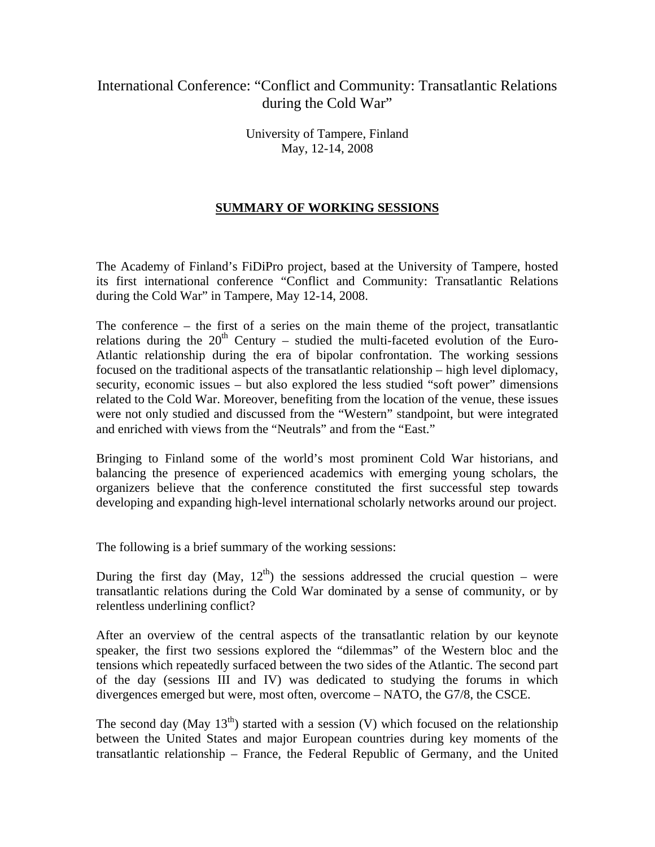## International Conference: "Conflict and Community: Transatlantic Relations during the Cold War"

University of Tampere, Finland May, 12-14, 2008

## **SUMMARY OF WORKING SESSIONS**

The Academy of Finland's FiDiPro project, based at the University of Tampere, hosted its first international conference "Conflict and Community: Transatlantic Relations during the Cold War" in Tampere, May 12-14, 2008.

The conference – the first of a series on the main theme of the project, transatlantic relations during the  $20<sup>th</sup>$  Century – studied the multi-faceted evolution of the Euro-Atlantic relationship during the era of bipolar confrontation. The working sessions focused on the traditional aspects of the transatlantic relationship – high level diplomacy, security, economic issues – but also explored the less studied "soft power" dimensions related to the Cold War. Moreover, benefiting from the location of the venue, these issues were not only studied and discussed from the "Western" standpoint, but were integrated and enriched with views from the "Neutrals" and from the "East."

Bringing to Finland some of the world's most prominent Cold War historians, and balancing the presence of experienced academics with emerging young scholars, the organizers believe that the conference constituted the first successful step towards developing and expanding high-level international scholarly networks around our project.

The following is a brief summary of the working sessions:

During the first day (May,  $12<sup>th</sup>$ ) the sessions addressed the crucial question – were transatlantic relations during the Cold War dominated by a sense of community, or by relentless underlining conflict?

After an overview of the central aspects of the transatlantic relation by our keynote speaker, the first two sessions explored the "dilemmas" of the Western bloc and the tensions which repeatedly surfaced between the two sides of the Atlantic. The second part of the day (sessions III and IV) was dedicated to studying the forums in which divergences emerged but were, most often, overcome – NATO, the G7/8, the CSCE.

The second day (May  $13<sup>th</sup>$ ) started with a session (V) which focused on the relationship between the United States and major European countries during key moments of the transatlantic relationship – France, the Federal Republic of Germany, and the United